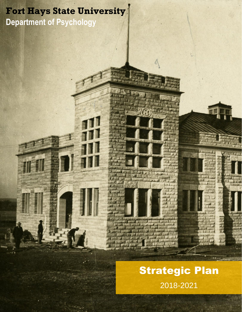## **Fort Hays State University Department of Psychology**

# Strategic Plan 2018-2021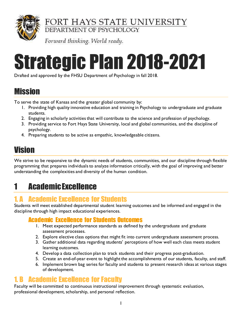

FORT HAYS STATE UNIVERSITY

DEPARTMENT OF PSYCHOLOGY

Forward thinking. World ready.

# Strategic Plan 2018-2021

Drafted and approved by the FHSU Department of Psychology in fall 2018.

## Mission

To serve the state of Kansas and the greater global community by:

- 1. Providing high quality innovative education and training in Psychology to undergraduate and graduate students.
- 2. Engaging in scholarly activities that will contribute to the science and profession of psychology.
- 3. Providing service to Fort Hays State University, local and global communities, and the discipline of psychology.
- 4. Preparing students to be active as empathic, knowledgeable citizens.

## Vision

We strive to be responsive to the dynamic needs of students, communities, and our discipline through flexible programming that prepares individuals to analyze information critically, with the goal of improving and better understanding the complexities and diversity of the human condition.

## 1 Academic Excellence

#### 1. A Academic Excellence for Students

Students will meet established departmental student learning outcomes and be informed and engaged in the discipline through high impact educational experiences.

#### Academic Excellence for Students Outcomes

- 1. Meet expected performance standards as defined by the undergraduate and graduate assessment processes.
- 2. Explore elective class options that might fit into current undergraduate assessment process.
- 3. Gather additional data regarding students' perceptions of how well each class meets student learning outcomes.
- 4. Develop a data collection plan to track students and their progress post-graduation.
- 5. Create an end-of-year event to highlight the accomplishments of our students, faculty, and staff.
- 6. Implement brown bag series for faculty and students to present research ideas at various stages of development.

#### 1. B Academic Excellence for Faculty

Faculty will be committed to continuous instructional improvement through systematic evaluation, professional development, scholarship, and personal reflection.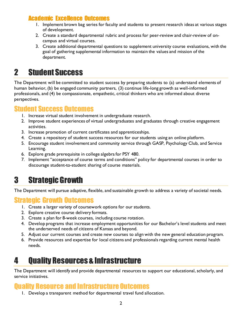#### Academic Excellence Outcomes

- 1. Implement brown bag series for faculty and students to present research ideas at various stages of development.
- 2. Create a standard departmental rubric and process for peer-review and chair-review of oncampus and virtual courses.
- 3. Create additional departmental questions to supplement university course evaluations, with the goal of gathering supplemental information to maintain the values and mission of the department.

## 2 Student Success

The Department will be committed to student success by preparing students to (a) understand elements of human behavior, (b) be engaged community partners, (3) continue life-long growth as well-informed professionals, and (4) be compassionate, empathetic, critical thinkers who are informed about diverse perspectives.

#### Student Success Outcomes

- 1. Increase virtual student involvement in undergraduate research.
- 2. Improve student experiences of virtual undergraduates and graduates through creative engagement activities.
- 3. Increase promotion of current certificates and apprenticeships.
- 4. Create a repository of student success resources for our students using an online platform.
- 5. Encourage student involvement and community service through GASP, Psychology Club, and Service Learning.
- 6. Explore grade prerequisite in college algebra for PSY 480.
- 7. Implement "acceptance of course terms and conditions" policy for departmental courses in order to discourage student-to-student sharing of course materials.

## 3 Strategic Growth

The Department will pursue adaptive, flexible, and sustainable growth to address a variety of societal needs.

#### Strategic Growth Outcomes

- 1. Create a larger variety of coursework options for our students.
- 2. Explore creative course delivery formats.
- 3. Create a plan for 8-week courses, including course rotation.
- 4. Develop programs that increase employment opportunities for our Bachelor's level students and meet the underserved needs of citizens of Kansas and beyond.
- 5. Adjust our current courses and create new courses to align with the new general education program.
- 6. Provide resources and expertise for local citizens and professionals regarding current mental health needs.

## 4 Quality Resources & Infrastructure

The Department will identify and provide departmental resources to support our educational, scholarly, and service initiatives.

#### Quality Resource and Infrastructure Outcomes

1. Develop a transparent method for departmental travel fund allocation.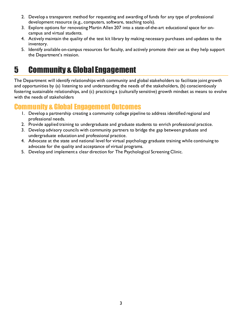- 2. Develop a transparent method for requesting and awarding of funds for any type of professional development resource (e.g., computers, software, teaching tools).
- 3. Explore options for renovating Martin Allen 207 into a state-of-the-art educational space for oncampus and virtual students.
- 4. Actively maintain the quality of the test kit library by making necessary purchases and updates to the inventory.
- 5. Identify available on-campus resources for faculty, and actively promote their use as they help support the Department's mission.

## 5 Community & Global Engagement

The Department will identify relationships with community and global stakeholders to facilitate joint growth and opportunities by (a) listening to and understanding the needs of the stakeholders, (b) conscientiously fostering sustainable relationships, and (c) practicing a (culturally sensitive) growth mindset as means to evolve with the needs of stakeholders

#### Community & Global Engagement Outcomes

- 1. Develop a partnership creating a community college pipeline to address identified regional and professional needs.
- 2. Provide applied training to undergraduate and graduate students to enrich professional practice.
- 3. Develop advisory councils with community partners to bridge the gap between graduate and undergraduate education and professional practice.
- 4. Advocate at the state and national level for virtual psychology graduate training while continuing to advocate for the quality and acceptance of virtual programs.
- 5. Develop and implement a clear direction for The Psychological Screening Clinic.